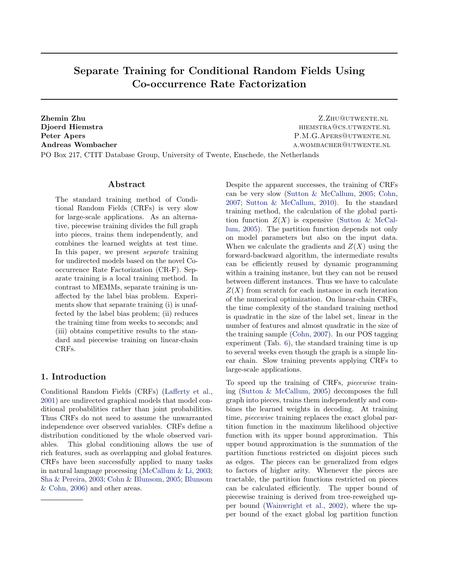# Separate Training for Conditional Random Fields Using Co-occurrence Rate Factorization

**Zhemin Zhu Z.Zhu@utwente.nl** 

Djoerd Hiemstra hiemstra hiemstra hiemstra hiemstra hiemstra hiemstra hiemstra hiemstra hiemstra hiemstra hiemstra hiemstra hiemstra hiemstra hiemstra hiemstra hiemstra hiemstra hiemstra hiemstra hiemstra hiemstra hiemstra Peter Apers P.M.G.APERS@UTWENTE.NL Andreas Wombacher and all the settlements of the settlement of the settlement of the settlement of the settlement of the settlement of the settlement of the settlement of the settlement of the settlement of the settlement

PO Box 217, CTIT Database Group, University of Twente, Enschede, the Netherlands

#### Abstract

The standard training method of Conditional Random Fields (CRFs) is very slow for large-scale applications. As an alternative, piecewise training divides the full graph into pieces, trains them independently, and combines the learned weights at test time. In this paper, we present separate training for undirected models based on the novel Cooccurrence Rate Factorization (CR-F). Separate training is a local training method. In contrast to MEMMs, separate training is unaffected by the label bias problem. Experiments show that separate training (i) is unaffected by the label bias problem; (ii) reduces the training time from weeks to seconds; and (iii) obtains competitive results to the standard and piecewise training on linear-chain CRFs.

# 1. Introduction

Conditional Random Fields (CRFs) [\(Lafferty et al.,](#page-8-0) [2001\)](#page-8-0) are undirected graphical models that model conditional probabilities rather than joint probabilities. Thus CRFs do not need to assume the unwarranted independence over observed variables. CRFs define a distribution conditioned by the whole observed variables. This global conditioning allows the use of rich features, such as overlapping and global features. CRFs have been successfully applied to many tasks in natural language processing [\(McCallum & Li,](#page-8-0) [2003;](#page-8-0) [Sha & Pereira,](#page-8-0) [2003;](#page-8-0) [Cohn & Blunsom,](#page-8-0) [2005;](#page-8-0) [Blunsom](#page-8-0) [& Cohn,](#page-8-0) [2006\)](#page-8-0) and other areas.

Despite the apparent successes, the training of CRFs can be very slow [\(Sutton & McCallum,](#page-8-0) [2005;](#page-8-0) [Cohn,](#page-8-0) [2007;](#page-8-0) [Sutton & McCallum,](#page-8-0) [2010\)](#page-8-0). In the standard training method, the calculation of the global partition function  $Z(X)$  is expensive [\(Sutton & McCal](#page-8-0)[lum,](#page-8-0) [2005\)](#page-8-0). The partition function depends not only on model parameters but also on the input data. When we calculate the gradients and  $Z(X)$  using the forward-backward algorithm, the intermediate results can be efficiently reused by dynamic programming within a training instance, but they can not be reused between different instances. Thus we have to calculate  $Z(X)$  from scratch for each instance in each iteration of the numerical optimization. On linear-chain CRFs, the time complexity of the standard training method is quadratic in the size of the label set, linear in the number of features and almost quadratic in the size of the training sample [\(Cohn,](#page-8-0) [2007\)](#page-8-0). In our POS tagging experiment (Tab. [6\)](#page-6-0), the standard training time is up to several weeks even though the graph is a simple linear chain. Slow training prevents applying CRFs to large-scale applications.

To speed up the training of CRFs, piecewise training [\(Sutton & McCallum,](#page-8-0) [2005\)](#page-8-0) decomposes the full graph into pieces, trains them independently and combines the learned weights in decoding. At training time, piecewise training replaces the exact global partition function in the maximum likelihood objective function with its upper bound approximation. This upper bound approximation is the summation of the partition functions restricted on disjoint pieces such as edges. The pieces can be generalized from edges to factors of higher arity. Whenever the pieces are tractable, the partition functions restricted on pieces can be calculated efficiently. The upper bound of piecewise training is derived from tree-reweighed upper bound [\(Wainwright et al.,](#page-8-0) [2002\)](#page-8-0), where the upper bound of the exact global log partition function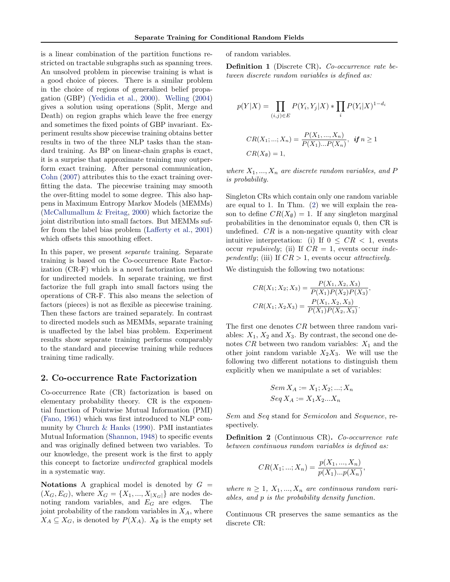<span id="page-1-0"></span>is a linear combination of the partition functions restricted on tractable subgraphs such as spanning trees. An unsolved problem in piecewise training is what is a good choice of pieces. There is a similar problem in the choice of regions of generalized belief propagation (GBP) [\(Yedidia et al.,](#page-9-0) [2000\)](#page-9-0). [Welling](#page-8-0) [\(2004\)](#page-8-0) gives a solution using operations (Split, Merge and Death) on region graphs which leave the free energy and sometimes the fixed points of GBP invariant. Experiment results show piecewise training obtains better results in two of the three NLP tasks than the standard training. As BP on linear-chain graphs is exact, it is a surprise that approximate training may outperform exact training. After personal communication, [Cohn](#page-8-0) [\(2007\)](#page-8-0) attributes this to the exact training overfitting the data. The piecewise training may smooth the over-fitting model to some degree. This also happens in Maximum Entropy Markov Models (MEMMs) [\(McCallumallum & Freitag,](#page-8-0) [2000\)](#page-8-0) which factorize the joint distribution into small factors. But MEMMs suffer from the label bias problem [\(Lafferty et al.,](#page-8-0) [2001\)](#page-8-0) which offsets this smoothing effect.

In this paper, we present *separate* training. Separate training is based on the Co-occurrence Rate Factorization (CR-F) which is a novel factorization method for undirected models. In separate training, we first factorize the full graph into small factors using the operations of CR-F. This also means the selection of factors (pieces) is not as flexible as piecewise training. Then these factors are trained separately. In contrast to directed models such as MEMMs, separate training is unaffected by the label bias problem. Experiment results show separate training performs comparably to the standard and piecewise training while reduces training time radically.

#### 2. Co-occurrence Rate Factorization

Co-occurrence Rate (CR) factorization is based on elementary probability theory. CR is the exponential function of Pointwise Mutual Information (PMI) [\(Fano,](#page-8-0) [1961\)](#page-8-0) which was first introduced to NLP community by [Church & Hanks](#page-8-0) [\(1990\)](#page-8-0). PMI instantiates Mutual Information [\(Shannon,](#page-8-0) [1948\)](#page-8-0) to specific events and was originally defined between two variables. To our knowledge, the present work is the first to apply this concept to factorize undirected graphical models in a systematic way.

Notations A graphical model is denoted by  $G =$  $(X_G, E_G)$ , where  $X_G = \{X_1, ..., X_{|X_G|}\}\$ are nodes denoting random variables, and  $E_G$  are edges. The joint probability of the random variables in  $X_A$ , where  $X_A \subseteq X_G$ , is denoted by  $P(X_A)$ .  $X_{\emptyset}$  is the empty set of random variables.

Definition 1 (Discrete CR). Co-occurrence rate between discrete random variables is defined as:

$$
p(Y|X) = \prod_{(i,j)\in E} P(Y_i, Y_j|X) * \prod_i P(Y_i|X)^{1-d_i}
$$
  
\n
$$
CR(X_1; ...; X_n) = \frac{P(X_1, ..., X_n)}{P(X_1)...P(X_n)}, \text{ if } n \ge 1
$$
  
\n
$$
CR(X_\emptyset) = 1,
$$

where  $X_1, ..., X_n$  are discrete random variables, and P is probability.

Singleton CRs which contain only one random variable are equal to 1. In Thm. [\(2\)](#page-2-0) we will explain the reason to define  $CR(X_{\emptyset}) = 1$ . If any singleton marginal probabilities in the denominator equals 0, then CR is undefined.  $CR$  is a non-negative quantity with clear intuitive interpretation: (i) If  $0 \leq CR \leq 1$ , events occur repulsively; (ii) If  $CR = 1$ , events occur independently; (iii) If  $CR > 1$ , events occur attractively.

We distinguish the following two notations:

$$
CR(X_1; X_2; X_3) = \frac{P(X_1, X_2, X_3)}{P(X_1)P(X_2)P(X_3)},
$$
  
\n
$$
CR(X_1; X_2X_3) = \frac{P(X_1, X_2, X_3)}{P(X_1)P(X_2, X_3)}.
$$

The first one denotes CR between three random variables:  $X_1, X_2$  and  $X_3$ . By contrast, the second one denotes CR between two random variables:  $X_1$  and the other joint random variable  $X_2X_3$ . We will use the following two different notations to distinguish them explicitly when we manipulate a set of variables:

$$
Sem X_A := X_1; X_2; ...; X_n
$$

$$
Seq X_A := X_1 X_2 ... X_n
$$

Sem and Seq stand for Semicolon and Sequence, respectively.

Definition 2 (Continuous CR). Co-occurrence rate between continuous random variables is defined as:

$$
CR(X_1;...;X_n) = \frac{p(X_1,...,X_n)}{p(X_1)...p(X_n)},
$$

where  $n \geq 1$ ,  $X_1, ..., X_n$  are continuous random variables, and p is the probability density function.

Continuous CR preserves the same semantics as the discrete CR: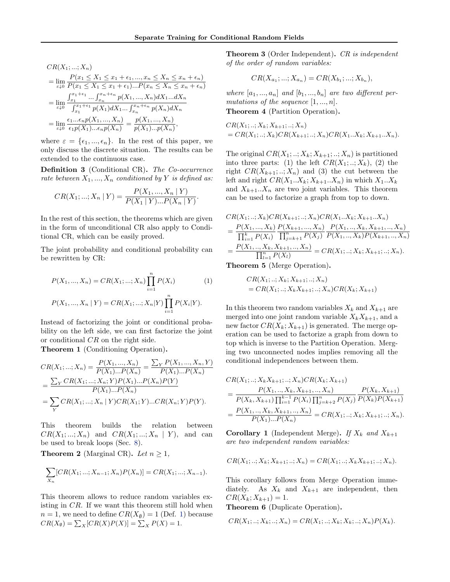<span id="page-2-0"></span>
$$
CR(X_1; ...; X_n)
$$
  
= 
$$
\lim_{\epsilon \downarrow 0} \frac{P(x_1 \le X_1 \le x_1 + \epsilon_1, ..., x_n \le X_n \le x_n + \epsilon_n)}{P(x_1 \le X_1 \le x_1 + \epsilon_1)...P(x_n \le X_n \le x_n + \epsilon_n)}
$$
  
= 
$$
\lim_{\epsilon \downarrow 0} \frac{\int_{x_1}^{x_1 + \epsilon_1} ... \int_{x_n}^{x_n + \epsilon_n} p(X_1, ..., X_n) dX_1... dX_n}{\int_{x_1}^{x_1 + \epsilon_1} p(X_1) dX_1 ... \int_{x_n}^{x_n + \epsilon_n} p(X_n) dX_n}
$$
  
= 
$$
\lim_{\epsilon \downarrow 0} \frac{\epsilon_1 ... \epsilon_n p(X_1, ..., X_n)}{\epsilon_1 p(X_1) ... \epsilon_n p(X_n)} = \frac{p(X_1, ..., X_n)}{p(X_1) ... p(X_n)},
$$

where  $\varepsilon = {\epsilon_1, ..., \epsilon_n}$ . In the rest of this paper, we only discuss the discrete situation. The results can be extended to the continuous case.

Definition 3 (Conditional CR). The Co-occurrence rate between  $X_1, ..., X_n$  conditioned by Y is defined as:

$$
CR(X_1; ...; X_n | Y) = \frac{P(X_1, ..., X_n | Y)}{P(X_1 | Y) ... P(X_n | Y)}.
$$

In the rest of this section, the theorems which are given in the form of unconditional CR also apply to Conditional CR, which can be easily proved.

The joint probability and conditional probability can be rewritten by CR:

$$
P(X_1, ..., X_n) = CR(X_1; ...; X_n) \prod_{i=1}^n P(X_i)
$$
(1)  

$$
P(X_1, ..., X_n | Y) = CR(X_1; ...; X_n | Y) \prod_{i=1}^n P(X_i | Y).
$$

Instead of factorizing the joint or conditional probability on the left side, we can first factorize the joint or conditional CR on the right side.

Theorem 1 (Conditioning Operation).

$$
CR(X_1; ...; X_n) = \frac{P(X_1, ... , X_n)}{P(X_1)...P(X_n)} = \frac{\sum_{Y} P(X_1, ... , X_n, Y)}{P(X_1)...P(X_n)}
$$
  
= 
$$
\frac{\sum_{Y} CR(X_1; ...; X_n; Y)P(X_1)...P(X_n)P(Y)}{P(X_1)...P(X_n)}
$$
  
= 
$$
\sum_{Y} CR(X_1; ...; X_n | Y)CR(X_1; Y)...CR(X_n; Y)P(Y).
$$

This theorem builds the relation between  $CR(X_1; \ldots; X_n)$  and  $CR(X_1; \ldots; X_n | Y)$ , and can be used to break loops (Sec. [8\)](#page-8-0).

**Theorem 2** (Marginal CR). Let  $n \geq 1$ ,

$$
\sum_{X_n} [CR(X_1; ...; X_{n-1}; X_n)P(X_n)] = CR(X_1; ...; X_{n-1}).
$$

This theorem allows to reduce random variables existing in CR. If we want this theorem still hold when  $n = 1$ , we need to define  $CR(X_{\emptyset}) = 1$  (Def. [1\)](#page-1-0) because  $CR(X_{\emptyset}) = \sum_{X} [CR(X)P(X)] = \sum_{X} P(X) = 1.$ 

**Theorem 3** (Order Independent). CR is independent of the order of random variables:

$$
CR(X_{a_1};...;X_{a_n}) = CR(X_{b_1};...;X_{b_n}),
$$

where  $[a_1, ..., a_n]$  and  $[b_1, ..., b_n]$  are two different permutations of the sequence  $[1, ..., n]$ . Theorem 4 (Partition Operation).

$$
CR(X_1;..;X_k;X_{k+1};..;X_n)
$$
  
=  $CR(X_1;..;X_k)CR(X_{k+1};..;X_n)CR(X_1..X_k;X_{k+1}..X_n).$ 

The original  $CR(X_1;..;X_k;X_{k+1};..;X_n)$  is partitioned into three parts: (1) the left  $CR(X_1; \ldots; X_k)$ , (2) the right  $CR(X_{k+1};..;X_n)$  and (3) the cut between the left and right  $CR(X_1..X_k; X_{k+1}..X_n)$  in which  $X_1..X_k$ and  $X_{k+1}...X_n$  are two joint variables. This theorem can be used to factorize a graph from top to down.

$$
CR(X_1,..; X_k)CR(X_{k+1},..; X_n)CR(X_1..X_k; X_{k+1}..X_n)
$$
  
= 
$$
\frac{P(X_1,..., X_k)}{\prod_{i=1}^k P(X_i)} \frac{P(X_{k+1},..., X_n)}{\prod_{j=k+1}^n P(X_j)} \frac{P(X_1,.., X_k, X_{k+1},.., X_n)}{P(X_1,.., X_k)P(X_{k+1},.., X_n)}
$$
  
= 
$$
\frac{P(X_1,.., X_k, X_{k+1},.., X_n)}{\prod_{l=1}^n P(X_l)} = CR(X_1,..; X_k; X_{k+1};..; X_n).
$$

Theorem 5 (Merge Operation).

$$
CR(X_1;..; X_k; X_{k+1};..; X_n)
$$
  
=  $CR(X_1;..; X_k X_{k+1};..; X_n)CR(X_k; X_{k+1})$ 

In this theorem two random variables  $X_k$  and  $X_{k+1}$  are merged into one joint random variable  $X_k X_{k+1}$ , and a new factor  $CR(X_k; X_{k+1})$  is generated. The merge operation can be used to factorize a graph from down to top which is inverse to the Partition Operation. Merging two unconnected nodes implies removing all the conditional independences between them.

$$
CR(X_1;..; X_k X_{k+1};..; X_n)CR(X_k; X_{k+1})
$$
  
= 
$$
\frac{P(X_1,.., X_k, X_{k+1},.., X_n)}{P(X_k, X_{k+1}) \prod_{i=1}^{k-1} P(X_i) \prod_{j=k+2}^n P(X_j) P(X_k) P(X_{k+1})}
$$
  
= 
$$
\frac{P(X_1,.., X_k, X_{k+1},.., X_n)}{P(X_1)...P(X_n)} = CR(X_1;..; X_k; X_{k+1},..; X_n).
$$

**Corollary 1** (Independent Merge). If  $X_k$  and  $X_{k+1}$ are two independent random variables:

$$
CR(X_1; ..; X_k; X_{k+1}; ..; X_n) = CR(X_1; ..; X_k X_{k+1}; ..; X_n).
$$

This corollary follows from Merge Operation immediately. As  $X_k$  and  $X_{k+1}$  are independent, then  $CR(X_k; X_{k+1}) = 1.$ 

Theorem 6 (Duplicate Operation).

$$
CR(X_1; ..; X_k; ..; X_n) = CR(X_1; ..; X_k; X_k; ..; X_n)P(X_k).
$$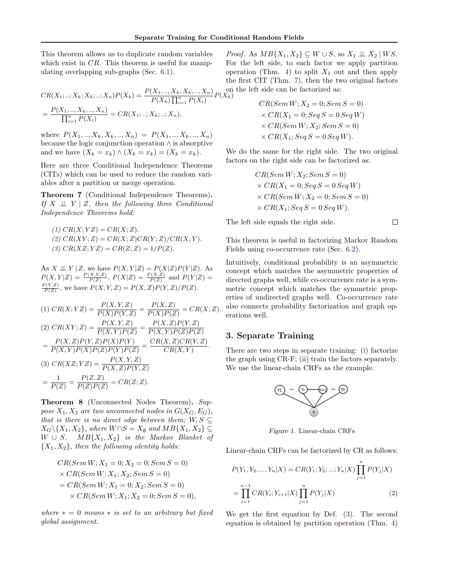<span id="page-3-0"></span>This theorem allows us to duplicate random variables which exist in  $CR$ . This theorem is useful for manipulating overlapping sub-graphs (Sec. [6.1\)](#page-6-0).

$$
CR(X_1; ..; X_k; X_k; ..; X_n)P(X_k) = \frac{P(X_1, .., X_k, X_k, .., X_n)}{P(X_k) \prod_{i=1}^n P(X_i)} P(X_k^{\text{on}})
$$

$$
= \frac{P(X_1, .., X_k, .., X_n)}{\prod_{i=1}^n P(X_i)} = CR(X_1; ..; X_k; ..; X_n),
$$

where  $P(X_1, ..., X_k, X_k, ..., X_n) = P(X_1, ..., X_k, ..., X_n)$ because the logic conjunction operation ∧ is absorptive and we have  $(X_k = x_k) \wedge (X_k = x_k) = (X_k = x_k).$ 

Here are three Conditional Independence Theorems (CITs) which can be used to reduce the random variables after a partition or merge operation.

Theorem 7 (Conditional Independence Theorems). If  $X \perp \!\!\! \perp Y \mid Z$ , then the following three Conditional Independence Theorems hold:

(1) 
$$
CR(X; YZ) = CR(X; Z)
$$
.  
\n(2)  $CR(XY; Z) = CR(X; Z)CR(Y; Z)/CR(X; Y)$ .  
\n(3)  $CR(XZ; YZ) = CR(Z; Z) = 1/P(Z)$ .

As  $X \perp \!\!\!\perp Y \mid Z$ , we have  $P(X, Y | Z) = P(X | Z) P(Y | Z)$ . As  $P(X, Y|Z) = \frac{P(X, Y, Z)}{P(Z)}$ ,  $P(X|Z) = \frac{P(X, Z)}{P(Z)}$  and  $P(Y|Z) =$  $\frac{P(Y,Z)}{P(Z)}$ , we have  $P(X,Y,Z) = P(X,Z)P(Y,Z)/P(Z)$ .

(1) 
$$
CR(X; YZ) = \frac{P(X, Y, Z)}{P(X)P(Y, Z)} = \frac{P(X, Z)}{P(X)P(Z)} = CR(X; Z).
$$
  
\n(2)  $CR(XY; Z) = \frac{P(X, Y, Z)}{P(X, Y)P(Z)} = \frac{P(X, Z)P(Y, Z)}{P(X, Y)P(Z)P(Z)}$   
\n
$$
= \frac{P(X, Z)P(Y, Z)P(X)P(Y)}{P(X, Y)P(X)P(Z)P(Y)P(Z)} = \frac{CR(X, Z)CR(Y, Z)}{CR(X, Y)}.
$$
  
\n(3)  $CR(XZ; YZ) = \frac{P(X, Y, Z)}{P(X, Z)P(Y, Z)}$   
\n
$$
= \frac{1}{P(Z)} = \frac{P(Z, Z)}{P(Z)P(Z)} = CR(Z; Z).
$$

Theorem 8 (Unconnected Nodes Theorem). Suppose  $X_1, X_2$  are two unconnected nodes in  $G(X_G, E_G)$ , that is there is no direct edge between them;  $W, S \subseteq$  $X_G \backslash \{X_1, X_2\}$ , where  $W \cap S = X_\emptyset$  and  $MB\{X_1, X_2\} \subseteq$  $W \cup S$ .  $MB{X_1, X_2}$  is the Markov Blanket of  ${X_1, X_2}$ , then the following identity holds:

$$
CR(Sem W; X1 = 0; X2 = 0; Sem S = 0)
$$
  
\n×  $CR(Sem W; X1; X2; Sem S = 0)$   
\n=  $CR(Sem W; X1 = 0; X2; Sem S = 0)$   
\n×  $CR(Sem W; X1; X2 = 0; Sem S = 0)$ 

where  $* = 0$  means  $*$  is set to an arbitrary but fixed global assignment.

*Proof.* As  $MB\{X_1, X_2\} \subseteq W \cup S$ , so  $X_1 \perp \!\!\!\perp X_2 \mid WS$ . For the left side, to each factor we apply partition operation (Thm. [4\)](#page-2-0) to split  $X_1$  out and then apply the first CIT (Thm. 7), then the two original factors on the left side can be factorized as:

$$
CR(Sem W; X2 = 0; Sem S = 0)
$$
  
\n
$$
\times CR(X1 = 0; Seq S = 0; Seq W)
$$
  
\n
$$
\times CR(Sem W; X2; Sem S = 0)
$$
  
\n
$$
\times CR(X1; Seq S = 0; Seq W).
$$

We do the same for the right side. The two original factors on the right side can be factorized as:

$$
CR(Sem W; X2; Sem S = 0)
$$
  
× 
$$
CR(X1 = 0; Seq S = 0 Seq W)
$$
  
× 
$$
CR(Sem W; X2 = 0; Sem S = 0)
$$
  
× 
$$
CR(X1; Seq S = 0 Seg W).
$$

The left side equals the right side.

 $\Box$ 

This theorem is useful in factorizing Markov Random Fields using co-occurrence rate (Sec. [6.2\)](#page-7-0).

Intuitively, conditional probability is an asymmetric concept which matches the asymmetric properties of directed graphs well, while co-occurrence rate is a symmetric concept which matches the symmetric properties of undirected graphs well. Co-occurrence rate also connects probability factorization and graph operations well.

# 3. Separate Training

There are two steps in separate training: (i) factorize the graph using CR-F; (ii) train the factors separately. We use the linear-chain CRFs as the example.



Figure 1. Linear-chain CRFs

Linear-chain CRFs can be factorized by CR as follows:

$$
P(Y_1, Y_2, ..., Y_n | X) = CR(Y_1; Y_2; ...; Y_n | X) \prod_{j=1}^n P(Y_j | X)
$$
  
= 
$$
\prod_{i=1}^{n-1} CR(Y_i; Y_{i+1} | X) \prod_{j=1}^n P(Y_j | X)
$$
 (2)

We get the first equation by Def. [\(3\)](#page-2-0). The second equation is obtained by partition operation (Thm. [4\)](#page-2-0)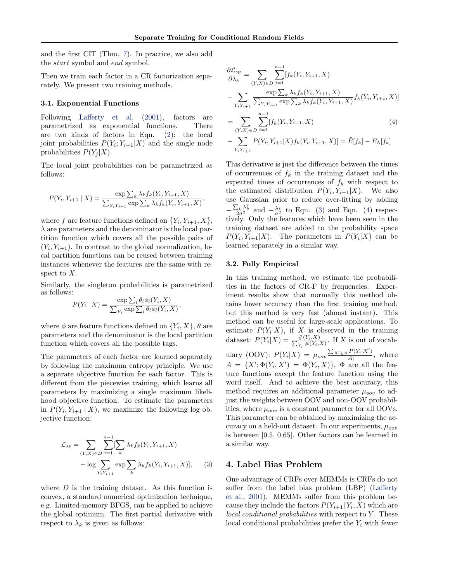<span id="page-4-0"></span>and the first CIT (Thm. [7\)](#page-3-0). In practice, we also add the start symbol and end symbol.

Then we train each factor in a CR factorization separately. We present two training methods.

#### 3.1. Exponential Functions

Following [Lafferty et al.](#page-8-0) [\(2001\)](#page-8-0), factors are parametrized as exponential functions. There are two kinds of factors in Eqn. [\(2\)](#page-3-0): the local joint probabilities  $P(Y_i; Y_{i+1}|X)$  and the single node probabilities  $P(Y_i|X)$ .

The local joint probabilities can be parametrized as follows:

$$
P(Y_i, Y_{i+1} | X) = \frac{\exp \sum_k \lambda_k f_k(Y_i, Y_{i+1}, X)}{\sum_{Y_i Y_{i+1}} \exp \sum_k \lambda_k f_k(Y_i, Y_{i+1}, X)},
$$

where f are feature functions defined on  $\{Y_i, Y_{i+1}, X\}$ ,  $\lambda$  are parameters and the denominator is the local partition function which covers all the possible pairs of  $(Y_i, Y_{i+1})$ . In contrast to the global normalization, local partition functions can be reused between training instances whenever the features are the same with respect to  $X$ .

Similarly, the singleton probabilities is parametrized as follows:

$$
P(Y_i | X) = \frac{\exp \sum_l \theta_l \phi_l(Y_i, X)}{\sum_{Y_i} \exp \sum_l \theta_l \phi_l(Y_i, X)},
$$

where  $\phi$  are feature functions defined on  $\{Y_i, X\}, \theta$  are parameters and the denominator is the local partition function which covers all the possible tags.

The parameters of each factor are learned separately by following the maximum entropy principle. We use a separate objective function for each factor. This is different from the piecewise training, which learns all parameters by maximizing a single maximum likelihood objective function. To estimate the parameters in  $P(Y_i, Y_{i+1} | X)$ , we maximize the following log objective function:

$$
\mathcal{L}_{sp} = \sum_{(Y,X) \in D} \sum_{i=1}^{n-1} [\sum_{k} \lambda_k f_k(Y_i, Y_{i+1}, X) - \log \sum_{Y_i Y_{i+1}} \exp \sum_{k} \lambda_k f_k(Y_i, Y_{i+1}, X)], \quad (3)
$$

where  $D$  is the training dataset. As this function is convex, a standard numerical optimization technique, e.g. Limited-memory BFGS, can be applied to achieve the global optimum. The first partial derivative with respect to  $\lambda_k$  is given as follows:

$$
\frac{\partial \mathcal{L}_{sp}}{\partial \lambda_{k}} = \sum_{(Y,X) \in D} \sum_{i=1}^{n-1} [f_{k}(Y_{i}, Y_{i+1}, X) - \sum_{Y_{i}Y_{i+1}} \frac{\exp \sum_{k} \lambda_{k} f_{k}(Y_{i}, Y_{i+1}, X)}{\sum_{Y_{i}Y_{i+1}} \exp \sum_{k} \lambda_{k} f_{k}(Y_{i}, Y_{i+1}, X)} f_{k}(Y_{i}, Y_{i+1}, X)]
$$
\n
$$
= \sum_{Y_{i}Y_{i+1}} \sum_{i=1}^{n-1} [f_{k}(Y_{i}, Y_{i+1}, X) \tag{4}
$$

$$
= \sum_{(Y,X)\in D} \sum_{i=1} [f_k(Y_i, Y_{i+1}, X) \tag{4}
$$
\n
$$
\sum_{Y|X,Y} P(Y, Y_{i+1} | Y) f_Y(Y_{i+1} | Y) - \tilde{F}[f, 1] \quad F_Y[f, 1]
$$

$$
-\sum_{Y_iY_{i+1}} P(Y_i, Y_{i+1}|X) f_k(Y_i, Y_{i+1}, X)] = \tilde{E}[f_k] - E_{\Lambda}[f_k]
$$

This derivative is just the difference between the times of occurrences of  $f_k$  in the training dataset and the expected times of occurrences of  $f_k$  with respect to the estimated distribution  $P(Y_i, Y_{i+1}|X)$ . We also use Gaussian prior to reduce over-fitting by adding  $-\frac{\sum_k \lambda_k^2}{2\sigma^2}$  and  $-\frac{\lambda_k}{\sigma^2}$  to Eqn. (3) and Eqn. (4) respectively. Only the features which have been seen in the training dataset are added to the probability space  $P(Y_i, Y_{i+1}|X)$ . The parameters in  $P(Y_i|X)$  can be learned separately in a similar way.

#### 3.2. Fully Empirical

In this training method, we estimate the probabilities in the factors of CR-F by frequencies. Experiment results show that normally this method obtains lower accuracy than the first training method, but this method is very fast (almost instant). This method can be useful for large-scale applications. To estimate  $P(Y_i|X)$ , if X is observed in the training dataset:  $P(Y_i|X) = \frac{\#(Y_i,X)}{\sum_{Y_i} \#(Y_i, X)}$  $\frac{\#(Y_i,X)}{Y_i \#(Y_i,X)}$ . If X is out of vocabulary (OOV):  $P(Y_i|X) = \mu_{oov} \frac{\sum_{X' \in A} P(Y_i|X')}{|A|}$  $\frac{1}{|A|}$ , where  $A = \{X'; \Phi(Y_i, X') = \Phi(Y_i, X)\}, \Phi$  are all the feature functions except the feature function using the word itself. And to achieve the best accuracy, this method requires an additional parameter  $\mu_{oov}$  to adjust the weights between OOV and non-OOV probabilities, where  $\mu_{oov}$  is a constant parameter for all OOVs. This parameter can be obtained by maximizing the accuracy on a held-out dataset. In our experiments,  $\mu_{\text{cov}}$ is between [0.5, 0.65]. Other factors can be learned in a similar way.

# 4. Label Bias Problem

One advantage of CRFs over MEMMs is CRFs do not suffer from the label bias problem (LBP) [\(Lafferty](#page-8-0) [et al.,](#page-8-0) [2001\)](#page-8-0). MEMMs suffer from this problem because they include the factors  $P(Y_{i+1} | Y_i, X)$  which are  $local conditional probabilities with respect to Y. These$ local conditional probabilities prefer the  $Y_i$  with fewer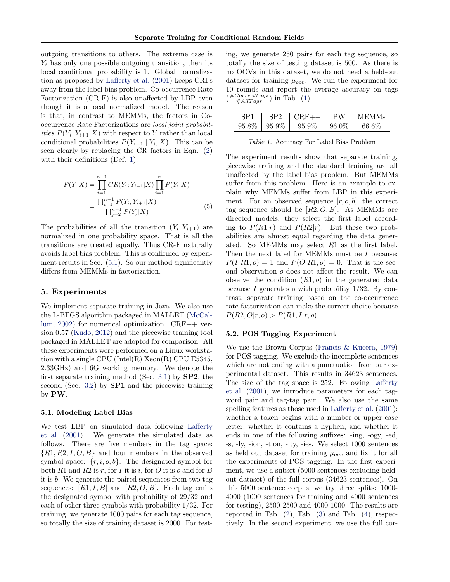outgoing transitions to others. The extreme case is  $Y_i$  has only one possible outgoing transition, then its local conditional probability is 1. Global normalization as proposed by [Lafferty et al.](#page-8-0) [\(2001\)](#page-8-0) keeps CRFs away from the label bias problem. Co-occurrence Rate Factorization (CR-F) is also unaffected by LBP even though it is a local normalized model. The reason is that, in contrast to MEMMs, the factors in Cooccurrence Rate Factorizations are local joint probabilities  $P(Y_i, Y_{i+1}|X)$  with respect to Y rather than local conditional probabilities  $P(Y_{i+1} | Y_i, X)$ . This can be seen clearly by replacing the CR factors in Eqn. [\(2\)](#page-3-0) with their definitions (Def. [1\)](#page-1-0):

$$
P(Y|X) = \prod_{i=1}^{n-1} CR(Y_i; Y_{i+1}|X) \prod_{i=1}^{n} P(Y_i|X)
$$

$$
= \frac{\prod_{i=1}^{n-1} P(Y_i, Y_{i+1}|X)}{\prod_{j=2}^{n-1} P(Y_j|X)}.
$$
(5)

The probabilities of all the transition  $(Y_i, Y_{i+1})$  are normalized in one probability space. That is all the transitions are treated equally. Thus CR-F naturally avoids label bias problem. This is confirmed by experiment results in Sec. (5.1). So our method significantly differs from MEMMs in factorization.

# 5. Experiments

We implement separate training in Java. We also use the L-BFGS algorithm packaged in MALLET [\(McCal](#page-8-0)[lum,](#page-8-0) [2002\)](#page-8-0) for numerical optimization. CRF++ version 0.57 [\(Kudo,](#page-8-0) [2012\)](#page-8-0) and the piecewise training tool packaged in MALLET are adopted for comparison. All these experiments were performed on a Linux workstation with a single CPU (Intel(R) Xeon(R) CPU E5345, 2.33GHz) and 6G working memory. We denote the first separate training method (Sec. [3.1\)](#page-4-0) by  $SP2$ , the second (Sec. [3.2\)](#page-4-0) by **SP1** and the piecewise training by PW.

#### 5.1. Modeling Label Bias

We test LBP on simulated data following [Lafferty](#page-8-0) [et al.](#page-8-0) [\(2001\)](#page-8-0). We generate the simulated data as follows. There are five members in the tag space:  $\{R1, R2, I, O, B\}$  and four members in the observed symbol space:  $\{r, i, o, b\}$ . The designated symbol for both R1 and R2 is r, for I it is i, for O it is o and for B it is b. We generate the paired sequences from two tag sequences:  $[R1, I, B]$  and  $[R2, O, B]$ . Each tag emits the designated symbol with probability of 29/32 and each of other three symbols with probability 1/32. For training, we generate 1000 pairs for each tag sequence, so totally the size of training dataset is 2000. For test-

ing, we generate 250 pairs for each tag sequence, so totally the size of testing dataset is 500. As there is no OOVs in this dataset, we do not need a held-out dataset for training  $\mu_{oov}$ . We run the experiment for 10 rounds and report the average accuracy on tags  $\left(\frac{\text{\#CorrectTags}}{\text{\#AllTags}}\right)$  in Tab. (1).

|       |       |       | РW    | MEMMs |
|-------|-------|-------|-------|-------|
| 95.8% | 95.9% | 95.9% | 96.0% | 66.6% |

Table 1. Accuracy For Label Bias Problem

The experiment results show that separate training, piecewise training and the standard training are all unaffected by the label bias problem. But MEMMs suffer from this problem. Here is an example to explain why MEMMs suffer from LBP in this experiment. For an observed sequence  $[r, o, b]$ , the correct tag sequence should be  $[R2, O, B]$ . As MEMMs are directed models, they select the first label according to  $P(R1|r)$  and  $P(R2|r)$ . But these two probabilities are almost equal regarding the data generated. So MEMMs may select R1 as the first label. Then the next label for MEMMs must be I because:  $P(I|R1, o) = 1$  and  $P(O|R1, o) = 0$ . That is the second observation o does not affect the result. We can observe the condition  $(R1, o)$  in the generated data because I generates o with probability  $1/32$ . By contrast, separate training based on the co-occurrence rate factorization can make the correct choice because  $P(R2, O|r, o) > P(R1, I|r, o).$ 

#### 5.2. POS Tagging Experiment

We use the Brown Corpus [\(Francis & Kucera,](#page-8-0) [1979\)](#page-8-0) for POS tagging. We exclude the incomplete sentences which are not ending with a punctuation from our experimental dataset. This results in 34623 sentences. The size of the tag space is 252. Following [Lafferty](#page-8-0) [et al.](#page-8-0) [\(2001\)](#page-8-0), we introduce parameters for each tagword pair and tag-tag pair. We also use the same spelling features as those used in [Lafferty et al.](#page-8-0) [\(2001\)](#page-8-0): whether a token begins with a number or upper case letter, whether it contains a hyphen, and whether it ends in one of the following suffixes: -ing, -ogy, -ed, -s, -ly, -ion, -tion, -ity, -ies. We select 1000 sentences as held out dataset for training  $\mu_{oov}$  and fix it for all the experiments of POS tagging. In the first experiment, we use a subset (5000 sentences excluding heldout dataset) of the full corpus (34623 sentences). On this 5000 sentence corpus, we try three splits: 1000- 4000 (1000 sentences for training and 4000 sentences for testing), 2500-2500 and 4000-1000. The results are reported in Tab.  $(2)$ , Tab.  $(3)$  and Tab.  $(4)$ , respectively. In the second experiment, we use the full cor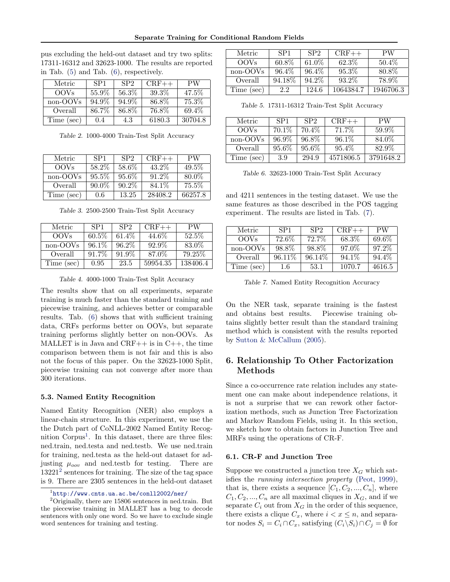Separate Training for Conditional Random Fields

<span id="page-6-0"></span>pus excluding the held-out dataset and try two splits: 17311-16312 and 32623-1000. The results are reported in Tab. (5) and Tab. (6), respectively.

| Metric           | SP <sub>1</sub> | SP <sub>2</sub> | $CRF++$ | PW      |
|------------------|-----------------|-----------------|---------|---------|
| OOV <sub>s</sub> | 55.9%           | 56.3%           | 39.3%   | 47.5%   |
| non-OOVs         | 94.9%           | 94.9%           | 86.8%   | 75.3%   |
| Overall          | 86.7%           | 86.8%           | 76.8%   | 69.4%   |
| Time (sec)       | 0.4             | 4.3             | 6180.3  | 30704.8 |

Table 2. 1000-4000 Train-Test Split Accuracy

| Metric      | SP <sub>1</sub> | SP <sub>2</sub> | $CRF++$  | <b>PW</b> |
|-------------|-----------------|-----------------|----------|-----------|
| <b>OOVs</b> | 58.2%           | 58.6%           | $43.2\%$ | 49.5%     |
| non-OOVs    | $95.5\%$        | 95.6%           | 91.2\%   | 80.0%     |
| Overall     | $90.0\%$        | $90.2\%$        | 84.1\%   | $75.5\%$  |
| Time (sec)  | 0.6             | 13.25           | 28408.2  | 66257.8   |

Table 3. 2500-2500 Train-Test Split Accuracy

| Metric      | SP <sub>1</sub> | SP <sub>2</sub> | $CRF++$  | PW       |
|-------------|-----------------|-----------------|----------|----------|
| <b>OOVs</b> | 60.5%           | 61.4\%          | 44.6%    | 52.5%    |
| non-OOVs    | $96.1\%$        | 96.2%           | 92.9%    | 83.0%    |
| Overall     | 91.7%           | 91.9%           | 87.0%    | 79.25\%  |
| Time (sec)  | 0.95            | 23.5            | 59954.35 | 138406.4 |

Table 4. 4000-1000 Train-Test Split Accuracy

The results show that on all experiments, separate training is much faster than the standard training and piecewise training, and achieves better or comparable results. Tab. (6) shows that with sufficient training data, CRFs performs better on OOVs, but separate training performs slightly better on non-OOVs. As MALLET is in Java and  $CRF++$  is in  $C++$ , the time comparison between them is not fair and this is also not the focus of this paper. On the 32623-1000 Split, piecewise training can not converge after more than 300 iterations.

#### 5.3. Named Entity Recognition

Named Entity Recognition (NER) also employs a linear-chain structure. In this experiment, we use the the Dutch part of CoNLL-2002 Named Entity Recognition Corpus<sup>1</sup>. In this dataset, there are three files: ned.train, ned.testa and ned.testb. We use ned.train for training, ned.testa as the held-out dataset for adjusting  $\mu_{oov}$  and ned.testb for testing. There are  $13221<sup>2</sup>$  sentences for training. The size of the tag space is 9. There are 2305 sentences in the held-out dataset

| Metric      | SP <sub>1</sub> | SP <sub>2</sub> | $CRF++$   | PW        |
|-------------|-----------------|-----------------|-----------|-----------|
| <b>OOVs</b> | $60.8\%$        | $61.0\%$        | 62.3\%    | $50.4\%$  |
| non-OOVs    | 96.4%           | $96.4\%$        | $95.3\%$  | 80.8%     |
| Overall     | 94.18\%         | 94.2\%          | $93.2\%$  | 78.9%     |
| Time (sec)  | 2.2             | 124.6           | 1064384.7 | 1946706.3 |

Table 5. 17311-16312 Train-Test Split Accuracy

| Metric      | SP <sub>1</sub> | SP <sub>2</sub> | $CRF++$   | PW        |
|-------------|-----------------|-----------------|-----------|-----------|
| <b>OOVs</b> | $70.1\%$        | $70.4\%$        | $71.7\%$  | 59.9%     |
| non-OOVs    | $96.9\%$        | 96.8%           | $96.1\%$  | 84.0%     |
| Overall     | 95.6%           | 95.6%           | $95.4\%$  | 82.9%     |
| Time (sec)  | 3.9             | 294.9           | 4571806.5 | 3791648.2 |

Table 6. 32623-1000 Train-Test Split Accuracy

and 4211 sentences in the testing dataset. We use the same features as those described in the POS tagging experiment. The results are listed in Tab. (7).

| Metric      | SP <sub>1</sub> | SP <sub>2</sub> | $CRF++$ | PW     |
|-------------|-----------------|-----------------|---------|--------|
| <b>OOVs</b> | 72.6%           | 72.7%           | 68.3%   | 69.6%  |
| non-OOVs    | 98.8%           | 98.8%           | 97.0%   | 97.2\% |
| Overall     | 96.11\%         | 96.14\%         | 94.1\%  | 94.4\% |
| Time (sec)  | $1.6\,$         | 53.1            | 1070.7  | 4616.5 |

Table 7. Named Entity Recognition Accuracy

On the NER task, separate training is the fastest and obtains best results. Piecewise training obtains slightly better result than the standard training method which is consistent with the results reported by [Sutton & McCallum](#page-8-0) [\(2005\)](#page-8-0).

# 6. Relationship To Other Factorization Methods

Since a co-occurrence rate relation includes any statement one can make about independence relations, it is not a surprise that we can rework other factorization methods, such as Junction Tree Factorization and Markov Random Fields, using it. In this section, we sketch how to obtain factors in Junction Tree and MRFs using the operations of CR-F.

### 6.1. CR-F and Junction Tree

Suppose we constructed a junction tree  $X_G$  which satisfies the running intersection property [\(Peot,](#page-8-0) [1999\)](#page-8-0), that is, there exists a sequence  $[C_1, C_2, ..., C_n]$ , where  $C_1, C_2, ..., C_n$  are all maximal cliques in  $X_G$ , and if we separate  $C_i$  out from  $X_G$  in the order of this sequence, there exists a clique  $C_x$ , where  $i < x \leq n$ , and separator nodes  $S_i = C_i \cap C_x$ , satisfying  $(C_i \backslash S_i) \cap C_j = \emptyset$  for

<sup>1</sup> <http://www.cnts.ua.ac.be/conll2002/ner/>

<sup>2</sup>Originally, there are 15806 sentences in ned.train. But the piecewise training in MALLET has a bug to decode sentences with only one word. So we have to exclude single word sentences for training and testing.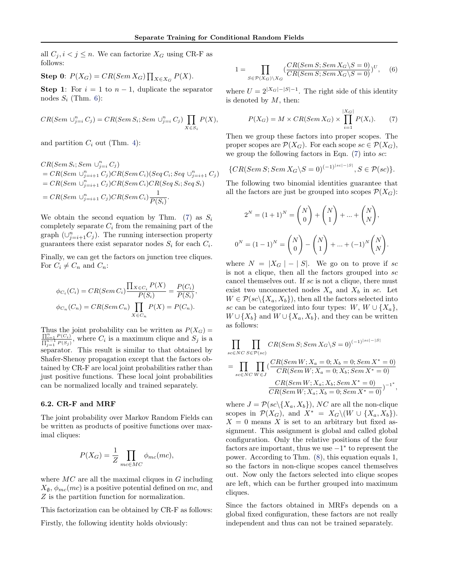<span id="page-7-0"></span>all  $C_j, i < j \leq n$ . We can factorize  $X_G$  using CR-F as follows:

Step 0:  $P(X_G) = CR(Sem X_G) \prod_{X \in X_G} P(X)$ .

Step 1: For  $i = 1$  to  $n - 1$ , duplicate the separator nodes  $S_i$  (Thm. [6\)](#page-2-0):

$$
CR(Sem \cup_{j=i}^{n} C_j) = CR(Sem S_i; Sem \cup_{j=i}^{n} C_j) \prod_{X \in S_i} P(X),
$$

and partition  $C_i$  out (Thm. [4\)](#page-2-0):

 $CR(Sem S_i; Sem \cup_{j=i}^{n} C_j)$  $= CR(Sem \cup_{j=i+1}^{n} C_j)CR(Sem \, C_i)(Seq \, C_i; Seq \cup_{j=i+1}^{n} C_j)$  $= CR(Sem \cup_{j=i+1}^{n} C_j)CR(Sem C_i)CR(Seq S_i; Seq S_i)$  $= CR(Sem \cup_{j=i+1}^{n} C_j)CR(Sem \cup_{j=i+1}^{n} C_j)$  $\frac{1}{P(S_i)}$ .

We obtain the second equation by Thm. [\(7\)](#page-3-0) as  $S_i$ completely separate  $C_i$  from the remaining part of the graph  $(\cup_{j=i+1}^{n} C_j)$ . The running intersection property guarantees there exist separator nodes  $S_i$  for each  $C_i$ .

Finally, we can get the factors on junction tree cliques. For  $C_i \neq C_n$  and  $C_n$ :

$$
\phi_{C_i}(C_i) = CR(Sem C_i) \frac{\prod_{X \in C_i} P(X)}{P(S_i)} = \frac{P(C_i)}{P(S_i)},
$$
  

$$
\phi_{C_n}(C_n) = CR(Sem C_n) \prod_{X \in C_n} P(X) = P(C_n).
$$

Thus the joint probability can be written as  $P(X_G) = \prod_{i=1}^{n} P(G_i)$  $\frac{\prod_{i=1}^{n} P(C_i)}{\prod_{j=1}^{n-1} P(S_j)}$ , where  $C_i$  is a maximum clique and  $S_j$  is a separator. This result is similar to that obtained by Shafer-Shenoy propagation except that the factors obtained by CR-F are local joint probabilities rather than just positive functions. These local joint probabilities can be normalized locally and trained separately.

#### 6.2. CR-F and MRF

The joint probability over Markov Random Fields can be written as products of positive functions over maximal cliques:

$$
P(X_G) = \frac{1}{Z} \prod_{mc \in MC} \phi_{mc}(mc),
$$

where  $MC$  are all the maximal cliques in  $G$  including  $X_{\emptyset}, \phi_{mc}(mc)$  is a positive potential defined on mc, and Z is the partition function for normalization.

This factorization can be obtained by CR-F as follows:

Firstly, the following identity holds obviously:

$$
1 = \prod_{S \in \mathcal{P}(X_G) \backslash X_G} \left( \frac{CR(Sem\ S; Sem\ X_G \backslash S = 0)}{CR(Sem\ S; Sem\ X_G \backslash S = 0)} \right)^U, \quad (6)
$$

where  $U = 2^{|X_G|-|S|-1}$ . The right side of this identity is denoted by  $M$ , then:

$$
P(X_G) = M \times CR(Sem\, X_G) \times \prod_{i=1}^{|X_G|} P(X_i). \tag{7}
$$

Then we group these factors into proper scopes. The proper scopes are  $\mathcal{P}(X_G)$ . For each scope  $sc \in \mathcal{P}(X_G)$ , we group the following factors in Eqn.  $(7)$  into sc:

$$
\{CR(Sem\ S; Sem\ X_G\setminus S=0)^{(-1)^{|sc|-|S|}}, S\in \mathcal{P}(sc)\}.
$$

The following two binomial identities guarantee that all the factors are just be grouped into scopes  $\mathcal{P}(X_G)$ :

$$
2^{N} = (1+1)^{N} = {N \choose 0} + {N \choose 1} + ... + {N \choose N},
$$
  

$$
0^{N} = (1-1)^{N} = {N \choose 0} - {N \choose 1} + ... + (-1)^{N} {N \choose N}.
$$

where  $N = |X_G| - |S|$ . We go on to prove if sc is not a clique, then all the factors grouped into sc cancel themselves out. If sc is not a clique, there must exist two unconnected nodes  $X_a$  and  $X_b$  in sc. Let  $W \in \mathcal{P}(sc \setminus \{X_a, X_b\})$ , then all the factors selected into sc can be categorized into four types:  $W, W \cup \{X_a\},\$  $W \cup \{X_b\}$  and  $W \cup \{X_a, X_b\}$ , and they can be written as follows:

$$
\prod_{s \in \in NC} \prod_{S \in \mathcal{P}(sc)} CR(Sem\ S; Sem\ X_G \setminus S = 0)^{(-1)^{|sc|-|S|}}
$$
\n
$$
= \prod_{s \in \in NC} \prod_{W \in J} \left( \frac{CR(Sem\ W; X_a = 0; X_b = 0; Sem\ X^* = 0)}{CR(Sem\ W; X_a = 0; X_b; Sem\ X^* = 0)} - \frac{CR(Sem\ W; X_a; X_b; Sem\ X^* = 0)}{CR(Sem\ W; X_a; X_b = 0; Sem\ X^* = 0)} \right)^{-1^*},
$$

where  $J = \mathcal{P}(sc \setminus \{X_a, X_b\})$ , NC are all the non-clique scopes in  $\mathcal{P}(X_G)$ , and  $X^* = X_G \setminus (W \cup \{X_a, X_b\}).$  $X = 0$  means X is set to an arbitrary but fixed assignment. This assignment is global and called global configuration. Only the relative positions of the four factors are important, thus we use  $-1^*$  to represent the power. According to Thm. [\(8\)](#page-3-0), this equation equals 1, so the factors in non-clique scopes cancel themselves out. Now only the factors selected into clique scopes are left, which can be further grouped into maximum cliques.

Since the factors obtained in MRFs depends on a global fixed configuration, these factors are not really independent and thus can not be trained separately.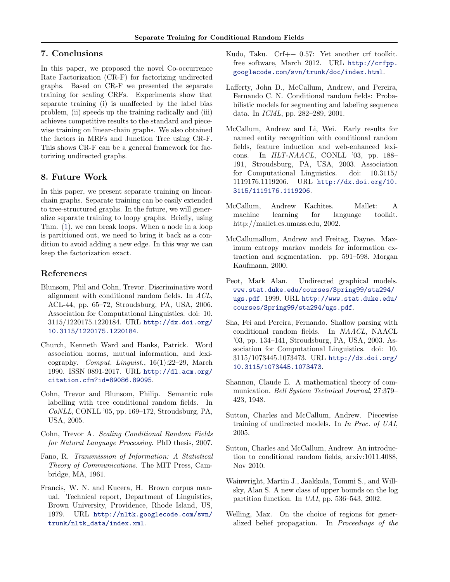# <span id="page-8-0"></span>7. Conclusions

In this paper, we proposed the novel Co-occurrence Rate Factorization (CR-F) for factorizing undirected graphs. Based on CR-F we presented the separate training for scaling CRFs. Experiments show that separate training (i) is unaffected by the label bias problem, (ii) speeds up the training radically and (iii) achieves competitive results to the standard and piecewise training on linear-chain graphs. We also obtained the factors in MRFs and Junction Tree using CR-F. This shows CR-F can be a general framework for factorizing undirected graphs.

# 8. Future Work

In this paper, we present separate training on linearchain graphs. Separate training can be easily extended to tree-structured graphs. In the future, we will generalize separate training to loopy graphs. Briefly, using Thm. [\(1\)](#page-2-0), we can break loops. When a node in a loop is partitioned out, we need to bring it back as a condition to avoid adding a new edge. In this way we can keep the factorization exact.

# References

- Blunsom, Phil and Cohn, Trevor. Discriminative word alignment with conditional random fields. In ACL, ACL-44, pp. 65–72, Stroudsburg, PA, USA, 2006. Association for Computational Linguistics. doi: 10. 3115/1220175.1220184. URL [http://dx.doi.org/](http://dx.doi.org/10.3115/1220175.1220184) [10.3115/1220175.1220184](http://dx.doi.org/10.3115/1220175.1220184).
- Church, Kenneth Ward and Hanks, Patrick. Word association norms, mutual information, and lexicography. Comput. Linguist., 16(1):22–29, March 1990. ISSN 0891-2017. URL [http://dl.acm.org/](http://dl.acm.org/citation.cfm?id=89086.89095) [citation.cfm?id=89086.89095](http://dl.acm.org/citation.cfm?id=89086.89095).
- Cohn, Trevor and Blunsom, Philip. Semantic role labelling with tree conditional random fields. In CoNLL, CONLL '05, pp. 169–172, Stroudsburg, PA, USA, 2005.
- Cohn, Trevor A. Scaling Conditional Random Fields for Natural Language Processing. PhD thesis, 2007.
- Fano, R. Transmission of Information: A Statistical Theory of Communications. The MIT Press, Cambridge, MA, 1961.
- Francis, W. N. and Kucera, H. Brown corpus manual. Technical report, Department of Linguistics, Brown University, Providence, Rhode Island, US, 1979. URL [http://nltk.googlecode.com/svn/](http://nltk.googlecode.com/svn/trunk/nltk_data/index.xml) [trunk/nltk\\_data/index.xml](http://nltk.googlecode.com/svn/trunk/nltk_data/index.xml).
- Kudo, Taku. Crf++ 0.57: Yet another crf toolkit. free software, March 2012. URL [http://crfpp.](http://crfpp.googlecode.com/svn/trunk/doc/index.html) [googlecode.com/svn/trunk/doc/index.html](http://crfpp.googlecode.com/svn/trunk/doc/index.html).
- Lafferty, John D., McCallum, Andrew, and Pereira, Fernando C. N. Conditional random fields: Probabilistic models for segmenting and labeling sequence data. In ICML, pp. 282–289, 2001.
- McCallum, Andrew and Li, Wei. Early results for named entity recognition with conditional random fields, feature induction and web-enhanced lexicons. In HLT-NAACL, CONLL '03, pp. 188– 191, Stroudsburg, PA, USA, 2003. Association for Computational Linguistics. doi: 10.3115/ 1119176.1119206. URL [http://dx.doi.org/10.](http://dx.doi.org/10.3115/1119176.1119206) [3115/1119176.1119206](http://dx.doi.org/10.3115/1119176.1119206).
- McCallum, Andrew Kachites. Mallet: A machine learning for language toolkit. http://mallet.cs.umass.edu, 2002.
- McCallumallum, Andrew and Freitag, Dayne. Maximum entropy markov models for information extraction and segmentation. pp. 591–598. Morgan Kaufmann, 2000.
- Peot, Mark Alan. Undirected graphical models. [www.stat.duke.edu/courses/Spring99/sta294/](www.stat.duke.edu/courses/Spring99/sta294/ugs.pdf) [ugs.pdf](www.stat.duke.edu/courses/Spring99/sta294/ugs.pdf). 1999. URL [http://www.stat.duke.edu/](http://www.stat.duke.edu/courses/Spring99/sta294/ugs.pdf) [courses/Spring99/sta294/ugs.pdf](http://www.stat.duke.edu/courses/Spring99/sta294/ugs.pdf).
- Sha, Fei and Pereira, Fernando. Shallow parsing with conditional random fields. In NAACL, NAACL '03, pp. 134–141, Stroudsburg, PA, USA, 2003. Association for Computational Linguistics. doi: 10. 3115/1073445.1073473. URL [http://dx.doi.org/](http://dx.doi.org/10.3115/1073445.1073473) [10.3115/1073445.1073473](http://dx.doi.org/10.3115/1073445.1073473).
- Shannon, Claude E. A mathematical theory of communication. Bell System Technical Journal, 27:379– 423, 1948.
- Sutton, Charles and McCallum, Andrew. Piecewise training of undirected models. In In Proc. of UAI, 2005.
- Sutton, Charles and McCallum, Andrew. An introduction to conditional random fields, arxiv:1011.4088, Nov 2010.
- Wainwright, Martin J., Jaakkola, Tommi S., and Willsky, Alan S. A new class of upper bounds on the log partition function. In UAI, pp. 536–543, 2002.
- Welling, Max. On the choice of regions for generalized belief propagation. In Proceedings of the